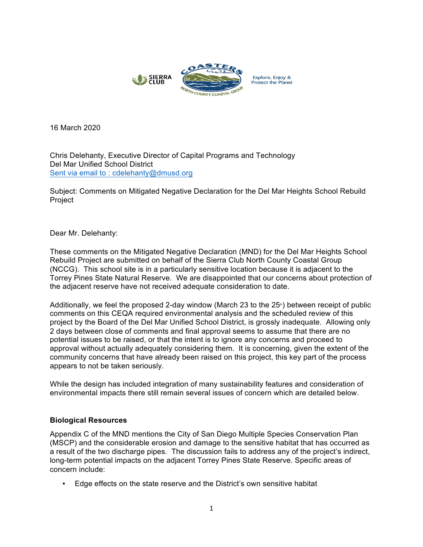

16 March 2020

Chris Delehanty, Executive Director of Capital Programs and Technology Del Mar Unified School District Sent via email to : cdelehanty@dmusd.org

Subject: Comments on Mitigated Negative Declaration for the Del Mar Heights School Rebuild Project

### Dear Mr. Delehanty:

These comments on the Mitigated Negative Declaration (MND) for the Del Mar Heights School Rebuild Project are submitted on behalf of the Sierra Club North County Coastal Group (NCCG). This school site is in a particularly sensitive location because it is adjacent to the Torrey Pines State Natural Reserve. We are disappointed that our concerns about protection of the adjacent reserve have not received adequate consideration to date.

Additionally, we feel the proposed 2-day window (March 23 to the  $25<sup>*</sup>$ ) between receipt of public comments on this CEQA required environmental analysis and the scheduled review of this project by the Board of the Del Mar Unified School District, is grossly inadequate. Allowing only 2 days between close of comments and final approval seems to assume that there are no potential issues to be raised, or that the intent is to ignore any concerns and proceed to approval without actually adequately considering them. It is concerning, given the extent of the community concerns that have already been raised on this project, this key part of the process appears to not be taken seriously.

While the design has included integration of many sustainability features and consideration of environmental impacts there still remain several issues of concern which are detailed below.

### **Biological Resources**

Appendix C of the MND mentions the City of San Diego Multiple Species Conservation Plan (MSCP) and the considerable erosion and damage to the sensitive habitat that has occurred as a result of the two discharge pipes. The discussion fails to address any of the project's indirect, long-term potential impacts on the adjacent Torrey Pines State Reserve. Specific areas of concern include:

• Edge effects on the state reserve and the District's own sensitive habitat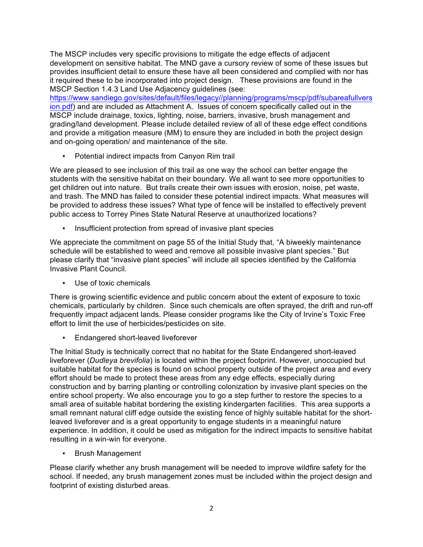The MSCP includes very specific provisions to mitigate the edge effects of adjacent development on sensitive habitat. The MND gave a cursory review of some of these issues but provides insufficient detail to ensure these have all been considered and complied with nor has it required these to be incorporated into project design. These provisions are found in the MSCP Section 1.4.3 Land Use Adjacency guidelines (see:

https://www.sandiego.gov/sites/default/files/legacy//planning/programs/mscp/pdf/subareafullvers ion.pdf) and are included as Attachment A. Issues of concern specifically called out in the MSCP include drainage, toxics, lighting, noise, barriers, invasive, brush management and grading/land development. Please include detailed review of all of these edge effect conditions and provide a mitigation measure (MM) to ensure they are included in both the project design and on-going operation/ and maintenance of the site.

• Potential indirect impacts from Canyon Rim trail

We are pleased to see inclusion of this trail as one way the school can better engage the students with the sensitive habitat on their boundary. We all want to see more opportunities to get children out into nature. But trails create their own issues with erosion, noise, pet waste, and trash. The MND has failed to consider these potential indirect impacts. What measures will be provided to address these issues? What type of fence will be installed to effectively prevent public access to Torrey Pines State Natural Reserve at unauthorized locations?

• Insufficient protection from spread of invasive plant species

We appreciate the commitment on page 55 of the Initial Study that, "A biweekly maintenance schedule will be established to weed and remove all possible invasive plant species." But please clarify that "invasive plant species" will include all species identified by the California Invasive Plant Council.

• Use of toxic chemicals

There is growing scientific evidence and public concern about the extent of exposure to toxic chemicals, particularly by children. Since such chemicals are often sprayed, the drift and run-off frequently impact adjacent lands. Please consider programs like the City of Irvine's Toxic Free effort to limit the use of herbicides/pesticides on site.

• Endangered short-leaved liveforever

The Initial Study is technically correct that no habitat for the State Endangered short-leaved liveforever (*Dudleya brevifolia*) is located within the project footprint. However, unoccupied but suitable habitat for the species is found on school property outside of the project area and every effort should be made to protect these areas from any edge effects, especially during construction and by barring planting or controlling colonization by invasive plant species on the entire school property. We also encourage you to go a step further to restore the species to a small area of suitable habitat bordering the existing kindergarten facilities. This area supports a small remnant natural cliff edge outside the existing fence of highly suitable habitat for the shortleaved liveforever and is a great opportunity to engage students in a meaningful nature experience. In addition, it could be used as mitigation for the indirect impacts to sensitive habitat resulting in a win-win for everyone.

• Brush Management

Please clarify whether any brush management will be needed to improve wildfire safety for the school. If needed, any brush management zones must be included within the project design and footprint of existing disturbed areas.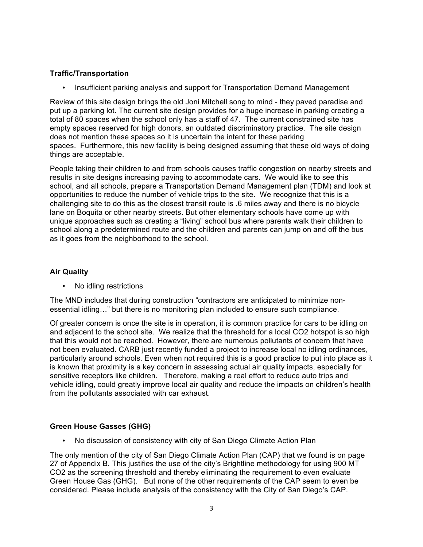# **Traffic/Transportation**

• Insufficient parking analysis and support for Transportation Demand Management

Review of this site design brings the old Joni Mitchell song to mind - they paved paradise and put up a parking lot. The current site design provides for a huge increase in parking creating a total of 80 spaces when the school only has a staff of 47. The current constrained site has empty spaces reserved for high donors, an outdated discriminatory practice. The site design does not mention these spaces so it is uncertain the intent for these parking spaces. Furthermore, this new facility is being designed assuming that these old ways of doing things are acceptable.

People taking their children to and from schools causes traffic congestion on nearby streets and results in site designs increasing paving to accommodate cars. We would like to see this school, and all schools, prepare a Transportation Demand Management plan (TDM) and look at opportunities to reduce the number of vehicle trips to the site. We recognize that this is a challenging site to do this as the closest transit route is .6 miles away and there is no bicycle lane on Boquita or other nearby streets. But other elementary schools have come up with unique approaches such as creating a "living" school bus where parents walk their children to school along a predetermined route and the children and parents can jump on and off the bus as it goes from the neighborhood to the school.

# **Air Quality**

• No idling restrictions

The MND includes that during construction "contractors are anticipated to minimize nonessential idling…" but there is no monitoring plan included to ensure such compliance.

Of greater concern is once the site is in operation, it is common practice for cars to be idling on and adjacent to the school site. We realize that the threshold for a local CO2 hotspot is so high that this would not be reached. However, there are numerous pollutants of concern that have not been evaluated. CARB just recently funded a project to increase local no idling ordinances, particularly around schools. Even when not required this is a good practice to put into place as it is known that proximity is a key concern in assessing actual air quality impacts, especially for sensitive receptors like children. Therefore, making a real effort to reduce auto trips and vehicle idling, could greatly improve local air quality and reduce the impacts on children's health from the pollutants associated with car exhaust.

# **Green House Gasses (GHG)**

• No discussion of consistency with city of San Diego Climate Action Plan

The only mention of the city of San Diego Climate Action Plan (CAP) that we found is on page 27 of Appendix B. This justifies the use of the city's Brightline methodology for using 900 MT CO2 as the screening threshold and thereby eliminating the requirement to even evaluate Green House Gas (GHG). But none of the other requirements of the CAP seem to even be considered. Please include analysis of the consistency with the City of San Diego's CAP.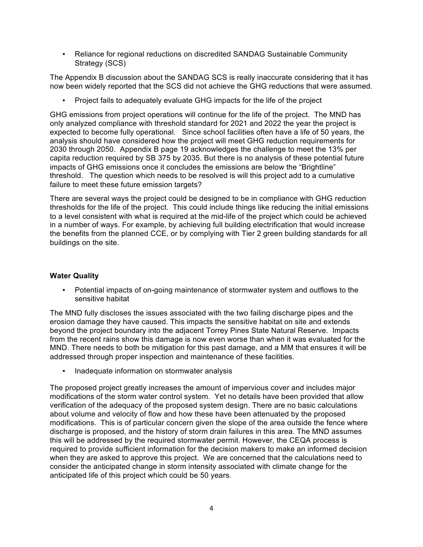• Reliance for regional reductions on discredited SANDAG Sustainable Community Strategy (SCS)

The Appendix B discussion about the SANDAG SCS is really inaccurate considering that it has now been widely reported that the SCS did not achieve the GHG reductions that were assumed.

• Project fails to adequately evaluate GHG impacts for the life of the project

GHG emissions from project operations will continue for the life of the project. The MND has only analyzed compliance with threshold standard for 2021 and 2022 the year the project is expected to become fully operational. Since school facilities often have a life of 50 years, the analysis should have considered how the project will meet GHG reduction requirements for 2030 through 2050. Appendix B page 19 acknowledges the challenge to meet the 13% per capita reduction required by SB 375 by 2035. But there is no analysis of these potential future impacts of GHG emissions once it concludes the emissions are below the "Brightline" threshold. The question which needs to be resolved is will this project add to a cumulative failure to meet these future emission targets?

There are several ways the project could be designed to be in compliance with GHG reduction thresholds for the life of the project. This could include things like reducing the initial emissions to a level consistent with what is required at the mid-life of the project which could be achieved in a number of ways. For example, by achieving full building electrification that would increase the benefits from the planned CCE, or by complying with Tier 2 green building standards for all buildings on the site.

# **Water Quality**

• Potential impacts of on-going maintenance of stormwater system and outflows to the sensitive habitat

The MND fully discloses the issues associated with the two failing discharge pipes and the erosion damage they have caused. This impacts the sensitive habitat on site and extends beyond the project boundary into the adjacent Torrey Pines State Natural Reserve. Impacts from the recent rains show this damage is now even worse than when it was evaluated for the MND. There needs to both be mitigation for this past damage, and a MM that ensures it will be addressed through proper inspection and maintenance of these facilities.

• Inadequate information on stormwater analysis

The proposed project greatly increases the amount of impervious cover and includes major modifications of the storm water control system. Yet no details have been provided that allow verification of the adequacy of the proposed system design. There are no basic calculations about volume and velocity of flow and how these have been attenuated by the proposed modifications. This is of particular concern given the slope of the area outside the fence where discharge is proposed, and the history of storm drain failures in this area. The MND assumes this will be addressed by the required stormwater permit. However, the CEQA process is required to provide sufficient information for the decision makers to make an informed decision when they are asked to approve this project. We are concerned that the calculations need to consider the anticipated change in storm intensity associated with climate change for the anticipated life of this project which could be 50 years.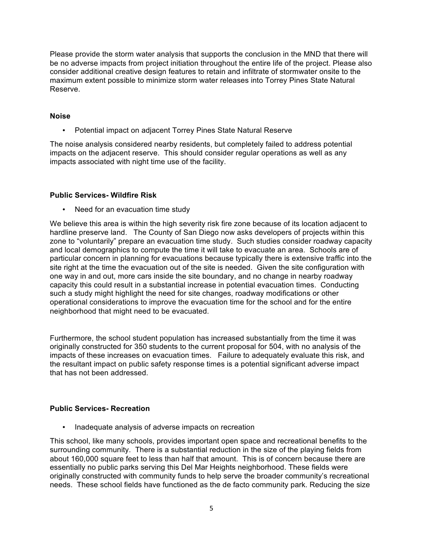Please provide the storm water analysis that supports the conclusion in the MND that there will be no adverse impacts from project initiation throughout the entire life of the project. Please also consider additional creative design features to retain and infiltrate of stormwater onsite to the maximum extent possible to minimize storm water releases into Torrey Pines State Natural Reserve.

## **Noise**

• Potential impact on adjacent Torrey Pines State Natural Reserve

The noise analysis considered nearby residents, but completely failed to address potential impacts on the adjacent reserve. This should consider regular operations as well as any impacts associated with night time use of the facility.

## **Public Services- Wildfire Risk**

• Need for an evacuation time study

We believe this area is within the high severity risk fire zone because of its location adjacent to hardline preserve land. The County of San Diego now asks developers of projects within this zone to "voluntarily" prepare an evacuation time study. Such studies consider roadway capacity and local demographics to compute the time it will take to evacuate an area. Schools are of particular concern in planning for evacuations because typically there is extensive traffic into the site right at the time the evacuation out of the site is needed. Given the site configuration with one way in and out, more cars inside the site boundary, and no change in nearby roadway capacity this could result in a substantial increase in potential evacuation times. Conducting such a study might highlight the need for site changes, roadway modifications or other operational considerations to improve the evacuation time for the school and for the entire neighborhood that might need to be evacuated.

Furthermore, the school student population has increased substantially from the time it was originally constructed for 350 students to the current proposal for 504, with no analysis of the impacts of these increases on evacuation times. Failure to adequately evaluate this risk, and the resultant impact on public safety response times is a potential significant adverse impact that has not been addressed.

# **Public Services- Recreation**

• Inadequate analysis of adverse impacts on recreation

This school, like many schools, provides important open space and recreational benefits to the surrounding community. There is a substantial reduction in the size of the playing fields from about 160,000 square feet to less than half that amount. This is of concern because there are essentially no public parks serving this Del Mar Heights neighborhood. These fields were originally constructed with community funds to help serve the broader community's recreational needs. These school fields have functioned as the de facto community park. Reducing the size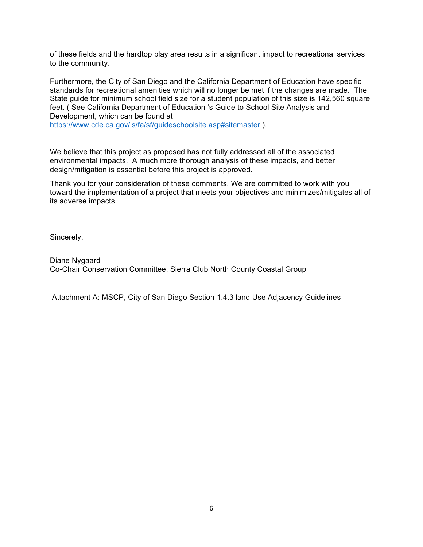of these fields and the hardtop play area results in a significant impact to recreational services to the community.

Furthermore, the City of San Diego and the California Department of Education have specific standards for recreational amenities which will no longer be met if the changes are made. The State guide for minimum school field size for a student population of this size is 142,560 square feet. ( See California Department of Education 's Guide to School Site Analysis and Development, which can be found at https://www.cde.ca.gov/ls/fa/sf/guideschoolsite.asp#sitemaster ).

We believe that this project as proposed has not fully addressed all of the associated environmental impacts. A much more thorough analysis of these impacts, and better design/mitigation is essential before this project is approved.

Thank you for your consideration of these comments. We are committed to work with you toward the implementation of a project that meets your objectives and minimizes/mitigates all of its adverse impacts.

Sincerely,

Diane Nygaard Co-Chair Conservation Committee, Sierra Club North County Coastal Group

Attachment A: MSCP, City of San Diego Section 1.4.3 land Use Adjacency Guidelines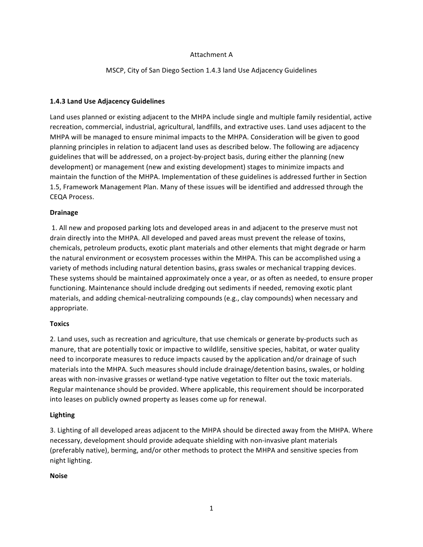### Attachment A

MSCP, City of San Diego Section 1.4.3 land Use Adjacency Guidelines

#### **1.4.3 Land Use Adjacency Guidelines**

Land uses planned or existing adjacent to the MHPA include single and multiple family residential, active recreation, commercial, industrial, agricultural, landfills, and extractive uses. Land uses adjacent to the MHPA will be managed to ensure minimal impacts to the MHPA. Consideration will be given to good planning principles in relation to adjacent land uses as described below. The following are adjacency guidelines that will be addressed, on a project-by-project basis, during either the planning (new development) or management (new and existing development) stages to minimize impacts and maintain the function of the MHPA. Implementation of these guidelines is addressed further in Section 1.5, Framework Management Plan. Many of these issues will be identified and addressed through the CEQA Process. 

#### **Drainage**

1. All new and proposed parking lots and developed areas in and adjacent to the preserve must not drain directly into the MHPA. All developed and paved areas must prevent the release of toxins, chemicals, petroleum products, exotic plant materials and other elements that might degrade or harm the natural environment or ecosystem processes within the MHPA. This can be accomplished using a variety of methods including natural detention basins, grass swales or mechanical trapping devices. These systems should be maintained approximately once a year, or as often as needed, to ensure proper functioning. Maintenance should include dredging out sediments if needed, removing exotic plant materials, and adding chemical-neutralizing compounds (e.g., clay compounds) when necessary and appropriate. 

#### **Toxics**

2. Land uses, such as recreation and agriculture, that use chemicals or generate by-products such as manure, that are potentially toxic or impactive to wildlife, sensitive species, habitat, or water quality need to incorporate measures to reduce impacts caused by the application and/or drainage of such materials into the MHPA. Such measures should include drainage/detention basins, swales, or holding areas with non-invasive grasses or wetland-type native vegetation to filter out the toxic materials. Regular maintenance should be provided. Where applicable, this requirement should be incorporated into leases on publicly owned property as leases come up for renewal.

#### **Lighting**

3. Lighting of all developed areas adjacent to the MHPA should be directed away from the MHPA. Where necessary, development should provide adequate shielding with non-invasive plant materials (preferably native), berming, and/or other methods to protect the MHPA and sensitive species from night lighting.

#### **Noise**